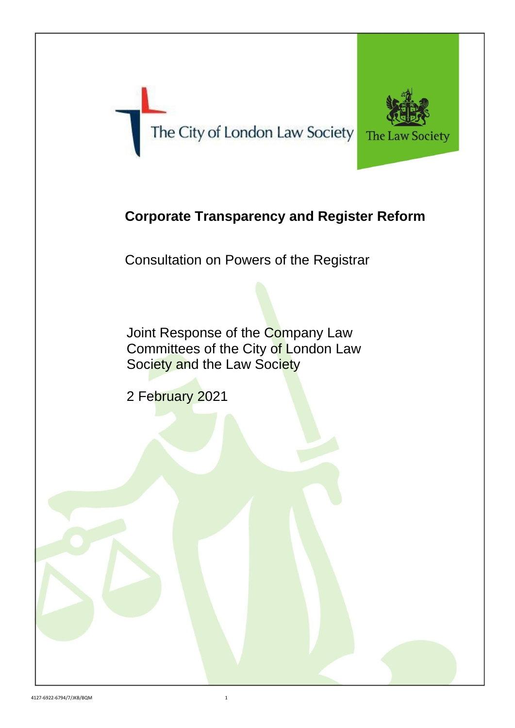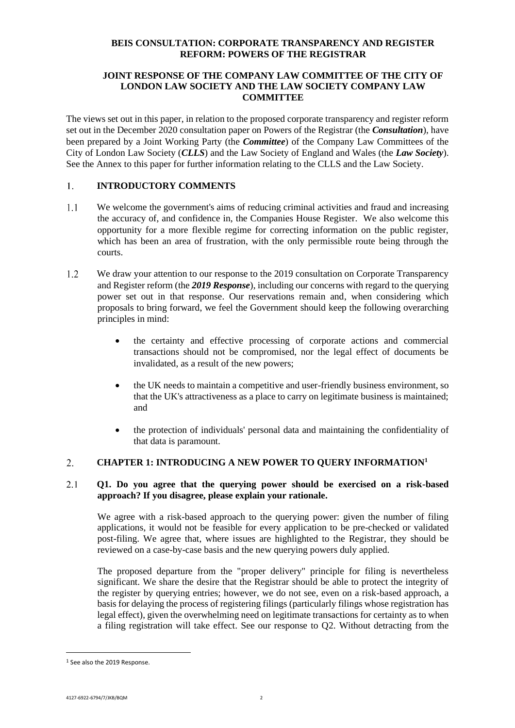# **BEIS CONSULTATION: CORPORATE TRANSPARENCY AND REGISTER REFORM: POWERS OF THE REGISTRAR**

# **JOINT RESPONSE OF THE COMPANY LAW COMMITTEE OF THE CITY OF LONDON LAW SOCIETY AND THE LAW SOCIETY COMPANY LAW COMMITTEE**

The views set out in this paper, in relation to the proposed corporate transparency and register reform set out in the December 2020 consultation paper on Powers of the Registrar (the *Consultation*), have been prepared by a Joint Working Party (the *Committee*) of the Company Law Committees of the City of London Law Society (*CLLS*) and the Law Society of England and Wales (the *Law Society*). See the Annex to this paper for further information relating to the CLLS and the Law Society.

#### **INTRODUCTORY COMMENTS**  $1<sup>1</sup>$

- $1.1$ We welcome the government's aims of reducing criminal activities and fraud and increasing the accuracy of, and confidence in, the Companies House Register. We also welcome this opportunity for a more flexible regime for correcting information on the public register, which has been an area of frustration, with the only permissible route being through the courts.
- $1.2$ We draw your attention to our response to the 2019 consultation on Corporate Transparency and Register reform (the *2019 Response*), including our concerns with regard to the querying power set out in that response. Our reservations remain and, when considering which proposals to bring forward, we feel the Government should keep the following overarching principles in mind:
	- the certainty and effective processing of corporate actions and commercial transactions should not be compromised, nor the legal effect of documents be invalidated, as a result of the new powers;
	- the UK needs to maintain a competitive and user-friendly business environment, so that the UK's attractiveness as a place to carry on legitimate business is maintained; and
	- the protection of individuals' personal data and maintaining the confidentiality of that data is paramount.

#### $2.$ **CHAPTER 1: INTRODUCING A NEW POWER TO QUERY INFORMATION<sup>1</sup>**

### 2.1 **Q1. Do you agree that the querying power should be exercised on a risk-based approach? If you disagree, please explain your rationale.**

We agree with a risk-based approach to the querying power: given the number of filing applications, it would not be feasible for every application to be pre-checked or validated post-filing. We agree that, where issues are highlighted to the Registrar, they should be reviewed on a case-by-case basis and the new querying powers duly applied.

The proposed departure from the "proper delivery" principle for filing is nevertheless significant. We share the desire that the Registrar should be able to protect the integrity of the register by querying entries; however, we do not see, even on a risk-based approach, a basis for delaying the process of registering filings (particularly filings whose registration has legal effect), given the overwhelming need on legitimate transactions for certainty as to when a filing registration will take effect. See our response to Q2. Without detracting from the

<sup>1</sup> See also the 2019 Response.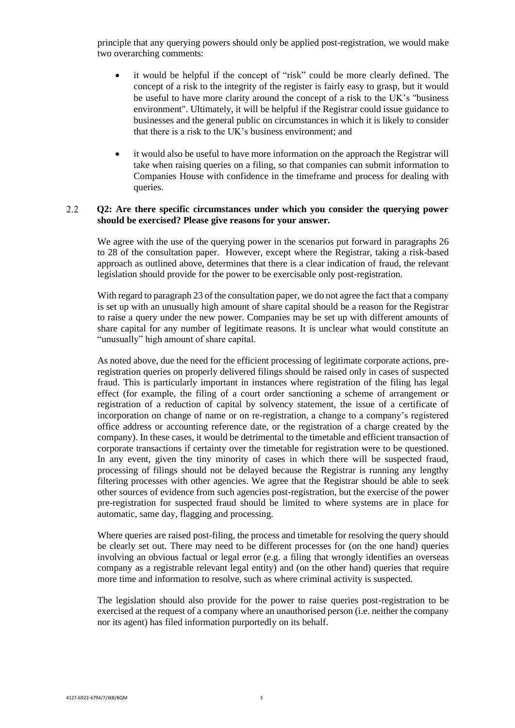principle that any querying powers should only be applied post-registration, we would make two overarching comments:

- it would be helpful if the concept of "risk" could be more clearly defined. The concept of a risk to the integrity of the register is fairly easy to grasp, but it would be useful to have more clarity around the concept of a risk to the UK's "business environment". Ultimately, it will be helpful if the Registrar could issue guidance to businesses and the general public on circumstances in which it is likely to consider that there is a risk to the UK's business environment; and
- it would also be useful to have more information on the approach the Registrar will take when raising queries on a filing, so that companies can submit information to Companies House with confidence in the timeframe and process for dealing with queries.

### $2.2^{\circ}$ **Q2: Are there specific circumstances under which you consider the querying power should be exercised? Please give reasons for your answer.**

We agree with the use of the querying power in the scenarios put forward in paragraphs 26 to 28 of the consultation paper. However, except where the Registrar, taking a risk-based approach as outlined above, determines that there is a clear indication of fraud, the relevant legislation should provide for the power to be exercisable only post-registration.

With regard to paragraph 23 of the consultation paper, we do not agree the fact that a company is set up with an unusually high amount of share capital should be a reason for the Registrar to raise a query under the new power. Companies may be set up with different amounts of share capital for any number of legitimate reasons. It is unclear what would constitute an "unusually" high amount of share capital.

As noted above, due the need for the efficient processing of legitimate corporate actions, preregistration queries on properly delivered filings should be raised only in cases of suspected fraud. This is particularly important in instances where registration of the filing has legal effect (for example, the filing of a court order sanctioning a scheme of arrangement or registration of a reduction of capital by solvency statement, the issue of a certificate of incorporation on change of name or on re-registration, a change to a company's registered office address or accounting reference date, or the registration of a charge created by the company). In these cases, it would be detrimental to the timetable and efficient transaction of corporate transactions if certainty over the timetable for registration were to be questioned. In any event, given the tiny minority of cases in which there will be suspected fraud, processing of filings should not be delayed because the Registrar is running any lengthy filtering processes with other agencies. We agree that the Registrar should be able to seek other sources of evidence from such agencies post-registration, but the exercise of the power pre-registration for suspected fraud should be limited to where systems are in place for automatic, same day, flagging and processing.

Where queries are raised post-filing, the process and timetable for resolving the query should be clearly set out. There may need to be different processes for (on the one hand) queries involving an obvious factual or legal error (e.g. a filing that wrongly identifies an overseas company as a registrable relevant legal entity) and (on the other hand) queries that require more time and information to resolve, such as where criminal activity is suspected.

The legislation should also provide for the power to raise queries post-registration to be exercised at the request of a company where an unauthorised person (i.e. neither the company nor its agent) has filed information purportedly on its behalf.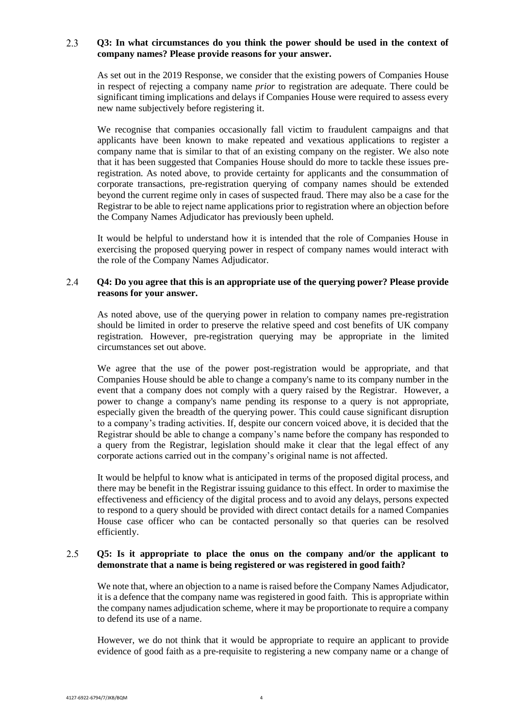### $2.3$ **Q3: In what circumstances do you think the power should be used in the context of company names? Please provide reasons for your answer.**

As set out in the 2019 Response, we consider that the existing powers of Companies House in respect of rejecting a company name *prior* to registration are adequate. There could be significant timing implications and delays if Companies House were required to assess every new name subjectively before registering it.

We recognise that companies occasionally fall victim to fraudulent campaigns and that applicants have been known to make repeated and vexatious applications to register a company name that is similar to that of an existing company on the register. We also note that it has been suggested that Companies House should do more to tackle these issues preregistration. As noted above, to provide certainty for applicants and the consummation of corporate transactions, pre-registration querying of company names should be extended beyond the current regime only in cases of suspected fraud. There may also be a case for the Registrar to be able to reject name applications prior to registration where an objection before the Company Names Adjudicator has previously been upheld.

It would be helpful to understand how it is intended that the role of Companies House in exercising the proposed querying power in respect of company names would interact with the role of the Company Names Adjudicator.

### 2.4 **Q4: Do you agree that this is an appropriate use of the querying power? Please provide reasons for your answer.**

As noted above, use of the querying power in relation to company names pre-registration should be limited in order to preserve the relative speed and cost benefits of UK company registration. However, pre-registration querying may be appropriate in the limited circumstances set out above.

We agree that the use of the power post-registration would be appropriate, and that Companies House should be able to change a company's name to its company number in the event that a company does not comply with a query raised by the Registrar. However, a power to change a company's name pending its response to a query is not appropriate, especially given the breadth of the querying power. This could cause significant disruption to a company's trading activities. If, despite our concern voiced above, it is decided that the Registrar should be able to change a company's name before the company has responded to a query from the Registrar, legislation should make it clear that the legal effect of any corporate actions carried out in the company's original name is not affected.

It would be helpful to know what is anticipated in terms of the proposed digital process, and there may be benefit in the Registrar issuing guidance to this effect. In order to maximise the effectiveness and efficiency of the digital process and to avoid any delays, persons expected to respond to a query should be provided with direct contact details for a named Companies House case officer who can be contacted personally so that queries can be resolved efficiently.

### 2.5 **Q5: Is it appropriate to place the onus on the company and/or the applicant to demonstrate that a name is being registered or was registered in good faith?**

We note that, where an objection to a name is raised before the Company Names Adjudicator, it is a defence that the company name was registered in good faith. This is appropriate within the company names adjudication scheme, where it may be proportionate to require a company to defend its use of a name.

However, we do not think that it would be appropriate to require an applicant to provide evidence of good faith as a pre-requisite to registering a new company name or a change of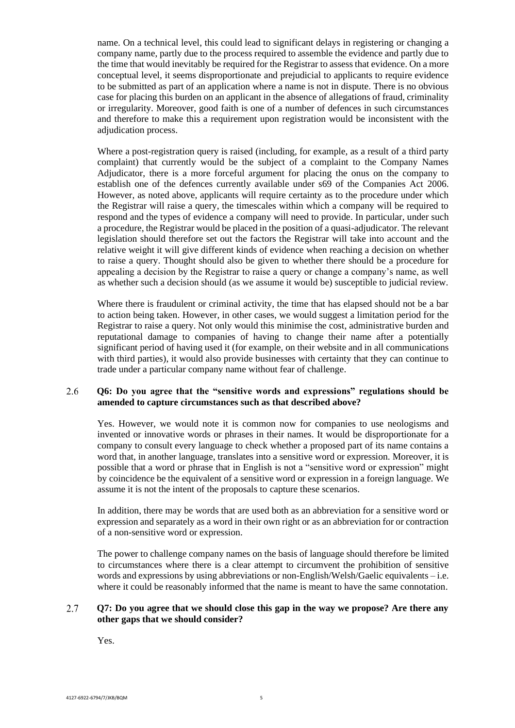name. On a technical level, this could lead to significant delays in registering or changing a company name, partly due to the process required to assemble the evidence and partly due to the time that would inevitably be required for the Registrar to assess that evidence. On a more conceptual level, it seems disproportionate and prejudicial to applicants to require evidence to be submitted as part of an application where a name is not in dispute. There is no obvious case for placing this burden on an applicant in the absence of allegations of fraud, criminality or irregularity. Moreover, good faith is one of a number of defences in such circumstances and therefore to make this a requirement upon registration would be inconsistent with the adjudication process.

Where a post-registration query is raised (including, for example, as a result of a third party complaint) that currently would be the subject of a complaint to the Company Names Adjudicator, there is a more forceful argument for placing the onus on the company to establish one of the defences currently available under s69 of the Companies Act 2006. However, as noted above, applicants will require certainty as to the procedure under which the Registrar will raise a query, the timescales within which a company will be required to respond and the types of evidence a company will need to provide. In particular, under such a procedure, the Registrar would be placed in the position of a quasi-adjudicator. The relevant legislation should therefore set out the factors the Registrar will take into account and the relative weight it will give different kinds of evidence when reaching a decision on whether to raise a query. Thought should also be given to whether there should be a procedure for appealing a decision by the Registrar to raise a query or change a company's name, as well as whether such a decision should (as we assume it would be) susceptible to judicial review.

Where there is fraudulent or criminal activity, the time that has elapsed should not be a bar to action being taken. However, in other cases, we would suggest a limitation period for the Registrar to raise a query. Not only would this minimise the cost, administrative burden and reputational damage to companies of having to change their name after a potentially significant period of having used it (for example, on their website and in all communications with third parties), it would also provide businesses with certainty that they can continue to trade under a particular company name without fear of challenge.

### 2.6 **Q6: Do you agree that the "sensitive words and expressions" regulations should be amended to capture circumstances such as that described above?**

Yes. However, we would note it is common now for companies to use neologisms and invented or innovative words or phrases in their names. It would be disproportionate for a company to consult every language to check whether a proposed part of its name contains a word that, in another language, translates into a sensitive word or expression. Moreover, it is possible that a word or phrase that in English is not a "sensitive word or expression" might by coincidence be the equivalent of a sensitive word or expression in a foreign language. We assume it is not the intent of the proposals to capture these scenarios.

In addition, there may be words that are used both as an abbreviation for a sensitive word or expression and separately as a word in their own right or as an abbreviation for or contraction of a non-sensitive word or expression.

The power to challenge company names on the basis of language should therefore be limited to circumstances where there is a clear attempt to circumvent the prohibition of sensitive words and expressions by using abbreviations or non-English/Welsh/Gaelic equivalents – i.e. where it could be reasonably informed that the name is meant to have the same connotation.

### 2.7 **Q7: Do you agree that we should close this gap in the way we propose? Are there any other gaps that we should consider?**

Yes.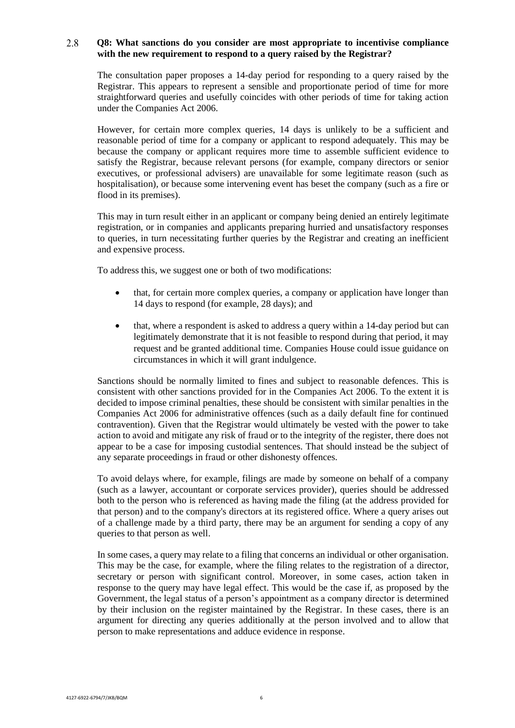### $2.8$ **Q8: What sanctions do you consider are most appropriate to incentivise compliance with the new requirement to respond to a query raised by the Registrar?**

The consultation paper proposes a 14-day period for responding to a query raised by the Registrar. This appears to represent a sensible and proportionate period of time for more straightforward queries and usefully coincides with other periods of time for taking action under the Companies Act 2006.

However, for certain more complex queries, 14 days is unlikely to be a sufficient and reasonable period of time for a company or applicant to respond adequately. This may be because the company or applicant requires more time to assemble sufficient evidence to satisfy the Registrar, because relevant persons (for example, company directors or senior executives, or professional advisers) are unavailable for some legitimate reason (such as hospitalisation), or because some intervening event has beset the company (such as a fire or flood in its premises).

This may in turn result either in an applicant or company being denied an entirely legitimate registration, or in companies and applicants preparing hurried and unsatisfactory responses to queries, in turn necessitating further queries by the Registrar and creating an inefficient and expensive process.

To address this, we suggest one or both of two modifications:

- that, for certain more complex queries, a company or application have longer than 14 days to respond (for example, 28 days); and
- that, where a respondent is asked to address a query within a 14-day period but can legitimately demonstrate that it is not feasible to respond during that period, it may request and be granted additional time. Companies House could issue guidance on circumstances in which it will grant indulgence.

Sanctions should be normally limited to fines and subject to reasonable defences. This is consistent with other sanctions provided for in the Companies Act 2006. To the extent it is decided to impose criminal penalties, these should be consistent with similar penalties in the Companies Act 2006 for administrative offences (such as a daily default fine for continued contravention). Given that the Registrar would ultimately be vested with the power to take action to avoid and mitigate any risk of fraud or to the integrity of the register, there does not appear to be a case for imposing custodial sentences. That should instead be the subject of any separate proceedings in fraud or other dishonesty offences.

To avoid delays where, for example, filings are made by someone on behalf of a company (such as a lawyer, accountant or corporate services provider), queries should be addressed both to the person who is referenced as having made the filing (at the address provided for that person) and to the company's directors at its registered office. Where a query arises out of a challenge made by a third party, there may be an argument for sending a copy of any queries to that person as well.

In some cases, a query may relate to a filing that concerns an individual or other organisation. This may be the case, for example, where the filing relates to the registration of a director, secretary or person with significant control. Moreover, in some cases, action taken in response to the query may have legal effect. This would be the case if, as proposed by the Government, the legal status of a person's appointment as a company director is determined by their inclusion on the register maintained by the Registrar. In these cases, there is an argument for directing any queries additionally at the person involved and to allow that person to make representations and adduce evidence in response.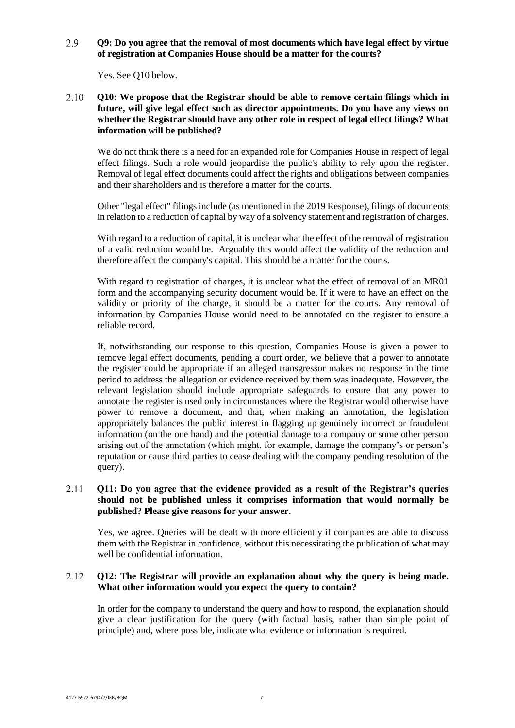2.9 **Q9: Do you agree that the removal of most documents which have legal effect by virtue of registration at Companies House should be a matter for the courts?** 

Yes. See Q10 below.

**Q10: We propose that the Registrar should be able to remove certain filings which in**  2.10 **future, will give legal effect such as director appointments. Do you have any views on whether the Registrar should have any other role in respect of legal effect filings? What information will be published?**

We do not think there is a need for an expanded role for Companies House in respect of legal effect filings. Such a role would jeopardise the public's ability to rely upon the register. Removal of legal effect documents could affect the rights and obligations between companies and their shareholders and is therefore a matter for the courts.

Other "legal effect" filings include (as mentioned in the 2019 Response), filings of documents in relation to a reduction of capital by way of a solvency statement and registration of charges.

With regard to a reduction of capital, it is unclear what the effect of the removal of registration of a valid reduction would be. Arguably this would affect the validity of the reduction and therefore affect the company's capital. This should be a matter for the courts.

With regard to registration of charges, it is unclear what the effect of removal of an MR01 form and the accompanying security document would be. If it were to have an effect on the validity or priority of the charge, it should be a matter for the courts. Any removal of information by Companies House would need to be annotated on the register to ensure a reliable record.

If, notwithstanding our response to this question, Companies House is given a power to remove legal effect documents, pending a court order, we believe that a power to annotate the register could be appropriate if an alleged transgressor makes no response in the time period to address the allegation or evidence received by them was inadequate. However, the relevant legislation should include appropriate safeguards to ensure that any power to annotate the register is used only in circumstances where the Registrar would otherwise have power to remove a document, and that, when making an annotation, the legislation appropriately balances the public interest in flagging up genuinely incorrect or fraudulent information (on the one hand) and the potential damage to a company or some other person arising out of the annotation (which might, for example, damage the company's or person's reputation or cause third parties to cease dealing with the company pending resolution of the query).

## 2.11 **Q11: Do you agree that the evidence provided as a result of the Registrar's queries should not be published unless it comprises information that would normally be published? Please give reasons for your answer.**

Yes, we agree. Queries will be dealt with more efficiently if companies are able to discuss them with the Registrar in confidence, without this necessitating the publication of what may well be confidential information.

### 2.12 **Q12: The Registrar will provide an explanation about why the query is being made. What other information would you expect the query to contain?**

In order for the company to understand the query and how to respond, the explanation should give a clear justification for the query (with factual basis, rather than simple point of principle) and, where possible, indicate what evidence or information is required.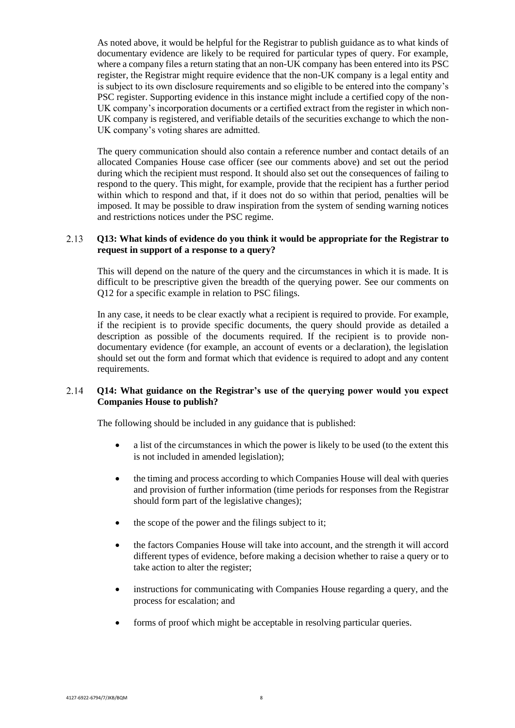As noted above, it would be helpful for the Registrar to publish guidance as to what kinds of documentary evidence are likely to be required for particular types of query. For example, where a company files a return stating that an non-UK company has been entered into its PSC register, the Registrar might require evidence that the non-UK company is a legal entity and is subject to its own disclosure requirements and so eligible to be entered into the company's PSC register. Supporting evidence in this instance might include a certified copy of the non-UK company's incorporation documents or a certified extract from the register in which non-UK company is registered, and verifiable details of the securities exchange to which the non-UK company's voting shares are admitted.

The query communication should also contain a reference number and contact details of an allocated Companies House case officer (see our comments above) and set out the period during which the recipient must respond. It should also set out the consequences of failing to respond to the query. This might, for example, provide that the recipient has a further period within which to respond and that, if it does not do so within that period, penalties will be imposed. It may be possible to draw inspiration from the system of sending warning notices and restrictions notices under the PSC regime.

### **Q13: What kinds of evidence do you think it would be appropriate for the Registrar to**  2.13 **request in support of a response to a query?**

This will depend on the nature of the query and the circumstances in which it is made. It is difficult to be prescriptive given the breadth of the querying power. See our comments on Q12 for a specific example in relation to PSC filings.

In any case, it needs to be clear exactly what a recipient is required to provide. For example, if the recipient is to provide specific documents, the query should provide as detailed a description as possible of the documents required. If the recipient is to provide nondocumentary evidence (for example, an account of events or a declaration), the legislation should set out the form and format which that evidence is required to adopt and any content requirements.

### 2.14 **Q14: What guidance on the Registrar's use of the querying power would you expect Companies House to publish?**

The following should be included in any guidance that is published:

- a list of the circumstances in which the power is likely to be used (to the extent this is not included in amended legislation);
- the timing and process according to which Companies House will deal with queries and provision of further information (time periods for responses from the Registrar should form part of the legislative changes);
- the scope of the power and the filings subject to it;
- the factors Companies House will take into account, and the strength it will accord different types of evidence, before making a decision whether to raise a query or to take action to alter the register;
- instructions for communicating with Companies House regarding a query, and the process for escalation; and
- forms of proof which might be acceptable in resolving particular queries.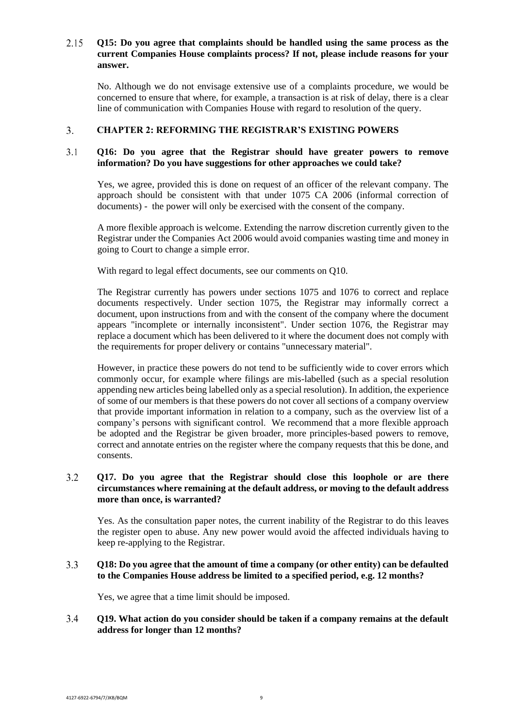## $2.15$ **Q15: Do you agree that complaints should be handled using the same process as the current Companies House complaints process? If not, please include reasons for your answer.**

No. Although we do not envisage extensive use of a complaints procedure, we would be concerned to ensure that where, for example, a transaction is at risk of delay, there is a clear line of communication with Companies House with regard to resolution of the query.

#### **CHAPTER 2: REFORMING THE REGISTRAR'S EXISTING POWERS**  $3.$

### $3.1$ **Q16: Do you agree that the Registrar should have greater powers to remove information? Do you have suggestions for other approaches we could take?**

Yes, we agree, provided this is done on request of an officer of the relevant company. The approach should be consistent with that under 1075 CA 2006 (informal correction of documents) - the power will only be exercised with the consent of the company.

A more flexible approach is welcome. Extending the narrow discretion currently given to the Registrar under the Companies Act 2006 would avoid companies wasting time and money in going to Court to change a simple error.

With regard to legal effect documents, see our comments on O10.

The Registrar currently has powers under sections 1075 and 1076 to correct and replace documents respectively. Under section 1075, the Registrar may informally correct a document, upon instructions from and with the consent of the company where the document appears "incomplete or internally inconsistent". Under section 1076, the Registrar may replace a document which has been delivered to it where the document does not comply with the requirements for proper delivery or contains "unnecessary material".

However, in practice these powers do not tend to be sufficiently wide to cover errors which commonly occur, for example where filings are mis-labelled (such as a special resolution appending new articles being labelled only as a special resolution). In addition, the experience of some of our members is that these powers do not cover all sections of a company overview that provide important information in relation to a company, such as the overview list of a company's persons with significant control. We recommend that a more flexible approach be adopted and the Registrar be given broader, more principles-based powers to remove, correct and annotate entries on the register where the company requests that this be done, and consents.

# $3.2$ **Q17. Do you agree that the Registrar should close this loophole or are there circumstances where remaining at the default address, or moving to the default address more than once, is warranted?**

Yes. As the consultation paper notes, the current inability of the Registrar to do this leaves the register open to abuse. Any new power would avoid the affected individuals having to keep re-applying to the Registrar.

### $3.3$ **Q18: Do you agree that the amount of time a company (or other entity) can be defaulted to the Companies House address be limited to a specified period, e.g. 12 months?**

Yes, we agree that a time limit should be imposed.

### $3.4$ **Q19. What action do you consider should be taken if a company remains at the default address for longer than 12 months?**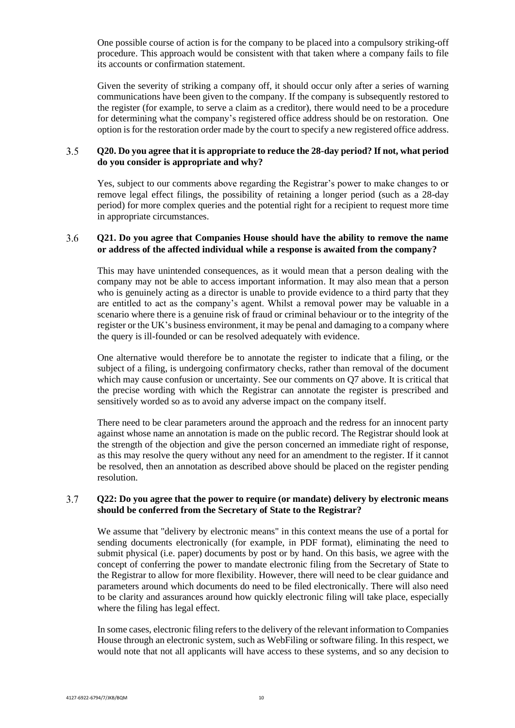One possible course of action is for the company to be placed into a compulsory striking-off procedure. This approach would be consistent with that taken where a company fails to file its accounts or confirmation statement.

Given the severity of striking a company off, it should occur only after a series of warning communications have been given to the company. If the company is subsequently restored to the register (for example, to serve a claim as a creditor), there would need to be a procedure for determining what the company's registered office address should be on restoration. One option is for the restoration order made by the court to specify a new registered office address.

### $3.5$ **Q20. Do you agree that it is appropriate to reduce the 28-day period? If not, what period do you consider is appropriate and why?**

Yes, subject to our comments above regarding the Registrar's power to make changes to or remove legal effect filings, the possibility of retaining a longer period (such as a 28-day period) for more complex queries and the potential right for a recipient to request more time in appropriate circumstances.

### $3.6$ **Q21. Do you agree that Companies House should have the ability to remove the name or address of the affected individual while a response is awaited from the company?**

This may have unintended consequences, as it would mean that a person dealing with the company may not be able to access important information. It may also mean that a person who is genuinely acting as a director is unable to provide evidence to a third party that they are entitled to act as the company's agent. Whilst a removal power may be valuable in a scenario where there is a genuine risk of fraud or criminal behaviour or to the integrity of the register or the UK's business environment, it may be penal and damaging to a company where the query is ill-founded or can be resolved adequately with evidence.

One alternative would therefore be to annotate the register to indicate that a filing, or the subject of a filing, is undergoing confirmatory checks, rather than removal of the document which may cause confusion or uncertainty. See our comments on Q7 above. It is critical that the precise wording with which the Registrar can annotate the register is prescribed and sensitively worded so as to avoid any adverse impact on the company itself.

There need to be clear parameters around the approach and the redress for an innocent party against whose name an annotation is made on the public record. The Registrar should look at the strength of the objection and give the person concerned an immediate right of response, as this may resolve the query without any need for an amendment to the register. If it cannot be resolved, then an annotation as described above should be placed on the register pending resolution.

### $3.7$ **Q22: Do you agree that the power to require (or mandate) delivery by electronic means should be conferred from the Secretary of State to the Registrar?**

We assume that "delivery by electronic means" in this context means the use of a portal for sending documents electronically (for example, in PDF format), eliminating the need to submit physical (i.e. paper) documents by post or by hand. On this basis, we agree with the concept of conferring the power to mandate electronic filing from the Secretary of State to the Registrar to allow for more flexibility. However, there will need to be clear guidance and parameters around which documents do need to be filed electronically. There will also need to be clarity and assurances around how quickly electronic filing will take place, especially where the filing has legal effect.

In some cases, electronic filing refersto the delivery of the relevant information to Companies House through an electronic system, such as WebFiling or software filing. In this respect, we would note that not all applicants will have access to these systems, and so any decision to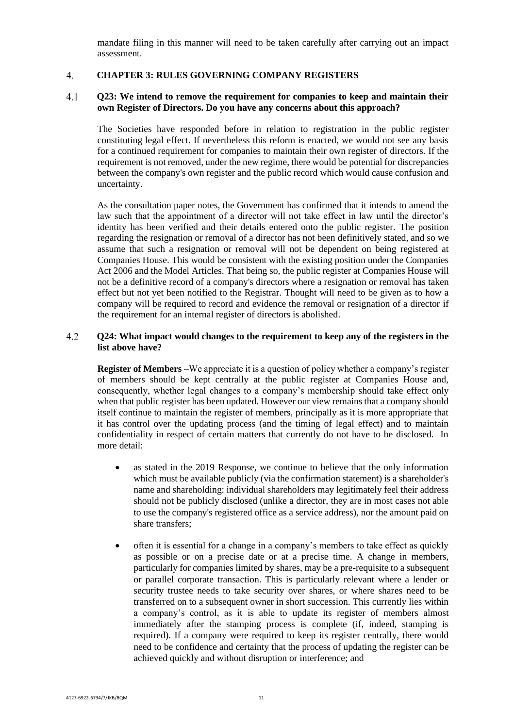mandate filing in this manner will need to be taken carefully after carrying out an impact assessment.

#### $\overline{4}$ . **CHAPTER 3: RULES GOVERNING COMPANY REGISTERS**

### $4.1$ **Q23: We intend to remove the requirement for companies to keep and maintain their own Register of Directors. Do you have any concerns about this approach?**

The Societies have responded before in relation to registration in the public register constituting legal effect. If nevertheless this reform is enacted, we would not see any basis for a continued requirement for companies to maintain their own register of directors*.* If the requirement is not removed, under the new regime, there would be potential for discrepancies between the company's own register and the public record which would cause confusion and uncertainty.

As the consultation paper notes, the Government has confirmed that it intends to amend the law such that the appointment of a director will not take effect in law until the director's identity has been verified and their details entered onto the public register. The position regarding the resignation or removal of a director has not been definitively stated, and so we assume that such a resignation or removal will not be dependent on being registered at Companies House. This would be consistent with the existing position under the Companies Act 2006 and the Model Articles. That being so, the public register at Companies House will not be a definitive record of a company's directors where a resignation or removal has taken effect but not yet been notified to the Registrar. Thought will need to be given as to how a company will be required to record and evidence the removal or resignation of a director if the requirement for an internal register of directors is abolished.

### $4.2$ **Q24: What impact would changes to the requirement to keep any of the registers in the list above have?**

**Register of Members** –We appreciate it is a question of policy whether a company's register of members should be kept centrally at the public register at Companies House and, consequently, whether legal changes to a company's membership should take effect only when that public register has been updated. However our view remains that a company should itself continue to maintain the register of members, principally as it is more appropriate that it has control over the updating process (and the timing of legal effect) and to maintain confidentiality in respect of certain matters that currently do not have to be disclosed. In more detail:

- as stated in the 2019 Response, we continue to believe that the only information which must be available publicly (via the confirmation statement) is a shareholder's name and shareholding: individual shareholders may legitimately feel their address should not be publicly disclosed (unlike a director, they are in most cases not able to use the company's registered office as a service address), nor the amount paid on share transfers;
- often it is essential for a change in a company's members to take effect as quickly as possible or on a precise date or at a precise time. A change in members, particularly for companies limited by shares, may be a pre-requisite to a subsequent or parallel corporate transaction. This is particularly relevant where a lender or security trustee needs to take security over shares, or where shares need to be transferred on to a subsequent owner in short succession. This currently lies within a company's control, as it is able to update its register of members almost immediately after the stamping process is complete (if, indeed, stamping is required). If a company were required to keep its register centrally, there would need to be confidence and certainty that the process of updating the register can be achieved quickly and without disruption or interference; and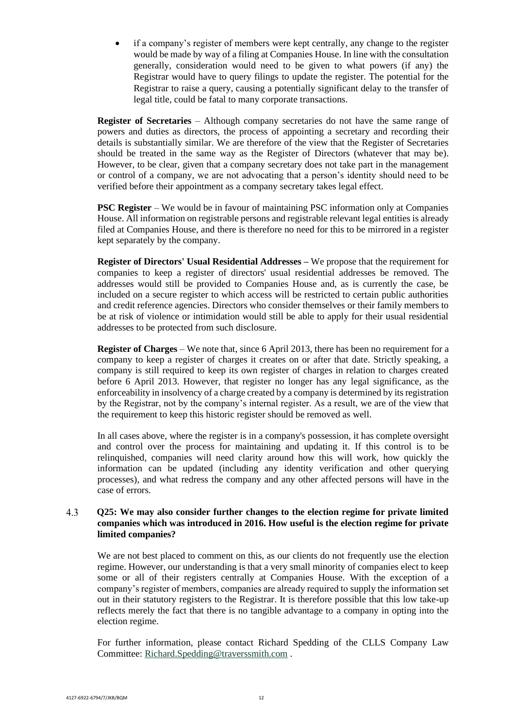• if a company's register of members were kept centrally, any change to the register would be made by way of a filing at Companies House. In line with the consultation generally, consideration would need to be given to what powers (if any) the Registrar would have to query filings to update the register. The potential for the Registrar to raise a query, causing a potentially significant delay to the transfer of legal title, could be fatal to many corporate transactions.

**Register of Secretaries** – Although company secretaries do not have the same range of powers and duties as directors, the process of appointing a secretary and recording their details is substantially similar. We are therefore of the view that the Register of Secretaries should be treated in the same way as the Register of Directors (whatever that may be). However, to be clear, given that a company secretary does not take part in the management or control of a company, we are not advocating that a person's identity should need to be verified before their appointment as a company secretary takes legal effect.

**PSC Register** – We would be in favour of maintaining PSC information only at Companies House. All information on registrable persons and registrable relevant legal entities is already filed at Companies House, and there is therefore no need for this to be mirrored in a register kept separately by the company.

**Register of Directors' Usual Residential Addresses –** We propose that the requirement for companies to keep a register of directors' usual residential addresses be removed. The addresses would still be provided to Companies House and, as is currently the case, be included on a secure register to which access will be restricted to certain public authorities and credit reference agencies. Directors who consider themselves or their family members to be at risk of violence or intimidation would still be able to apply for their usual residential addresses to be protected from such disclosure.

**Register of Charges** – We note that, since 6 April 2013, there has been no requirement for a company to keep a register of charges it creates on or after that date. Strictly speaking, a company is still required to keep its own register of charges in relation to charges created before 6 April 2013. However, that register no longer has any legal significance, as the enforceability in insolvency of a charge created by a company is determined by its registration by the Registrar, not by the company's internal register. As a result, we are of the view that the requirement to keep this historic register should be removed as well.

In all cases above, where the register is in a company's possession, it has complete oversight and control over the process for maintaining and updating it. If this control is to be relinquished, companies will need clarity around how this will work, how quickly the information can be updated (including any identity verification and other querying processes), and what redress the company and any other affected persons will have in the case of errors.

## 4.3 **Q25: We may also consider further changes to the election regime for private limited companies which was introduced in 2016. How useful is the election regime for private limited companies?**

We are not best placed to comment on this, as our clients do not frequently use the election regime. However, our understanding is that a very small minority of companies elect to keep some or all of their registers centrally at Companies House. With the exception of a company's register of members, companies are already required to supply the information set out in their statutory registers to the Registrar. It is therefore possible that this low take-up reflects merely the fact that there is no tangible advantage to a company in opting into the election regime.

For further information, please contact Richard Spedding of the CLLS Company Law Committee: [Richard.Spedding@traverssmith.com](mailto:Richard.Spedding@traverssmith.com) .